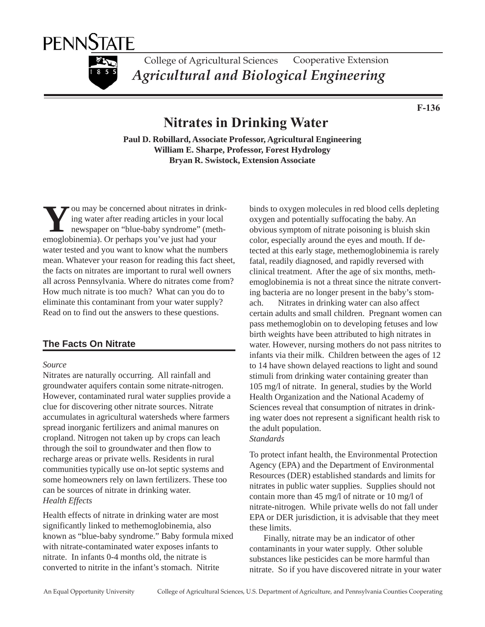



College of Agricultural Sciences Cooperative Extension *Agricultural and Biological Engineering*

**F-136**

# **Nitrates in Drinking Water**

**Paul D. Robillard, Associate Professor, Agricultural Engineering William E. Sharpe, Professor, Forest Hydrology Bryan R. Swistock, Extension Associate**

ou may be concerned about nitrates in drinking water after reading articles in your local newspaper on "blue-baby syndrome" (meth-**Example 19 year a** about nitrates in driving water after reading articles in your loc newspaper on "blue-baby syndrome" (me emoglobinemia). Or perhaps you've just had your water tested and you want to know what the numbers mean. Whatever your reason for reading this fact sheet, the facts on nitrates are important to rural well owners all across Pennsylvania. Where do nitrates come from? How much nitrate is too much? What can you do to eliminate this contaminant from your water supply? Read on to find out the answers to these questions.

## **The Facts On Nitrate**

#### *Source*

Nitrates are naturally occurring. All rainfall and groundwater aquifers contain some nitrate-nitrogen. However, contaminated rural water supplies provide a clue for discovering other nitrate sources. Nitrate accumulates in agricultural watersheds where farmers spread inorganic fertilizers and animal manures on cropland. Nitrogen not taken up by crops can leach through the soil to groundwater and then flow to recharge areas or private wells. Residents in rural communities typically use on-lot septic systems and some homeowners rely on lawn fertilizers. These too can be sources of nitrate in drinking water. *Health Effects*

Health effects of nitrate in drinking water are most significantly linked to methemoglobinemia, also known as "blue-baby syndrome." Baby formula mixed with nitrate-contaminated water exposes infants to nitrate. In infants 0-4 months old, the nitrate is converted to nitrite in the infant's stomach. Nitrite

binds to oxygen molecules in red blood cells depleting oxygen and potentially suffocating the baby. An obvious symptom of nitrate poisoning is bluish skin color, especially around the eyes and mouth. If detected at this early stage, methemoglobinemia is rarely fatal, readily diagnosed, and rapidly reversed with clinical treatment. After the age of six months, methemoglobinemia is not a threat since the nitrate converting bacteria are no longer present in the baby's stomach. Nitrates in drinking water can also affect certain adults and small children. Pregnant women can pass methemoglobin on to developing fetuses and low birth weights have been attributed to high nitrates in water. However, nursing mothers do not pass nitrites to infants via their milk. Children between the ages of 12 to 14 have shown delayed reactions to light and sound stimuli from drinking water containing greater than 105 mg/l of nitrate. In general, studies by the World Health Organization and the National Academy of Sciences reveal that consumption of nitrates in drinking water does not represent a significant health risk to the adult population.

## *Standards*

To protect infant health, the Environmental Protection Agency (EPA) and the Department of Environmental Resources (DER) established standards and limits for nitrates in public water supplies. Supplies should not contain more than 45 mg/l of nitrate or 10 mg/l of nitrate-nitrogen. While private wells do not fall under EPA or DER jurisdiction, it is advisable that they meet these limits.

Finally, nitrate may be an indicator of other contaminants in your water supply. Other soluble substances like pesticides can be more harmful than nitrate. So if you have discovered nitrate in your water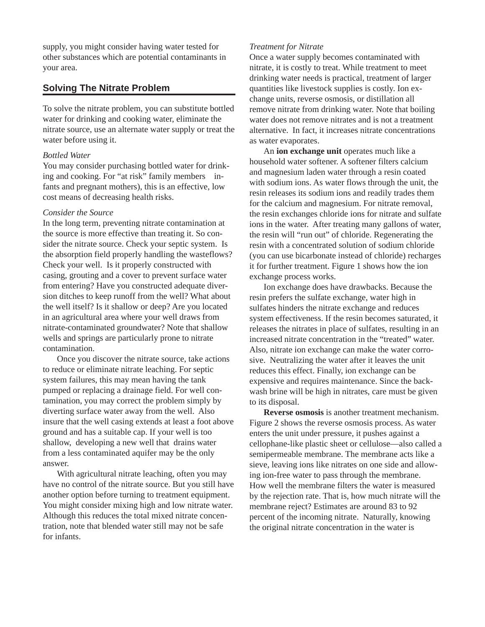supply, you might consider having water tested for other substances which are potential contaminants in your area.

## **Solving The Nitrate Problem**

To solve the nitrate problem, you can substitute bottled water for drinking and cooking water, eliminate the nitrate source, use an alternate water supply or treat the water before using it.

### *Bottled Water*

You may consider purchasing bottled water for drinking and cooking. For "at risk" family members infants and pregnant mothers), this is an effective, low cost means of decreasing health risks.

### *Consider the Source*

In the long term, preventing nitrate contamination at the source is more effective than treating it. So consider the nitrate source. Check your septic system. Is the absorption field properly handling the wasteflows? Check your well. Is it properly constructed with casing, grouting and a cover to prevent surface water from entering? Have you constructed adequate diversion ditches to keep runoff from the well? What about the well itself? Is it shallow or deep? Are you located in an agricultural area where your well draws from nitrate-contaminated groundwater? Note that shallow wells and springs are particularly prone to nitrate contamination.

Once you discover the nitrate source, take actions to reduce or eliminate nitrate leaching. For septic system failures, this may mean having the tank pumped or replacing a drainage field. For well contamination, you may correct the problem simply by diverting surface water away from the well. Also insure that the well casing extends at least a foot above ground and has a suitable cap. If your well is too shallow, developing a new well that drains water from a less contaminated aquifer may be the only answer.

With agricultural nitrate leaching, often you may have no control of the nitrate source. But you still have another option before turning to treatment equipment. You might consider mixing high and low nitrate water. Although this reduces the total mixed nitrate concentration, note that blended water still may not be safe for infants.

## *Treatment for Nitrate*

Once a water supply becomes contaminated with nitrate, it is costly to treat. While treatment to meet drinking water needs is practical, treatment of larger quantities like livestock supplies is costly. Ion exchange units, reverse osmosis, or distillation all remove nitrate from drinking water. Note that boiling water does not remove nitrates and is not a treatment alternative. In fact, it increases nitrate concentrations as water evaporates.

An **ion exchange unit** operates much like a household water softener. A softener filters calcium and magnesium laden water through a resin coated with sodium ions. As water flows through the unit, the resin releases its sodium ions and readily trades them for the calcium and magnesium. For nitrate removal, the resin exchanges chloride ions for nitrate and sulfate ions in the water. After treating many gallons of water, the resin will "run out" of chloride. Regenerating the resin with a concentrated solution of sodium chloride (you can use bicarbonate instead of chloride) recharges it for further treatment. Figure 1 shows how the ion exchange process works.

Ion exchange does have drawbacks. Because the resin prefers the sulfate exchange, water high in sulfates hinders the nitrate exchange and reduces system effectiveness. If the resin becomes saturated, it releases the nitrates in place of sulfates, resulting in an increased nitrate concentration in the "treated" water. Also, nitrate ion exchange can make the water corrosive. Neutralizing the water after it leaves the unit reduces this effect. Finally, ion exchange can be expensive and requires maintenance. Since the backwash brine will be high in nitrates, care must be given to its disposal.

**Reverse osmosis** is another treatment mechanism. Figure 2 shows the reverse osmosis process. As water enters the unit under pressure, it pushes against a cellophane-like plastic sheet or cellulose—also called a semipermeable membrane. The membrane acts like a sieve, leaving ions like nitrates on one side and allowing ion-free water to pass through the membrane. How well the membrane filters the water is measured by the rejection rate. That is, how much nitrate will the membrane reject? Estimates are around 83 to 92 percent of the incoming nitrate. Naturally, knowing the original nitrate concentration in the water is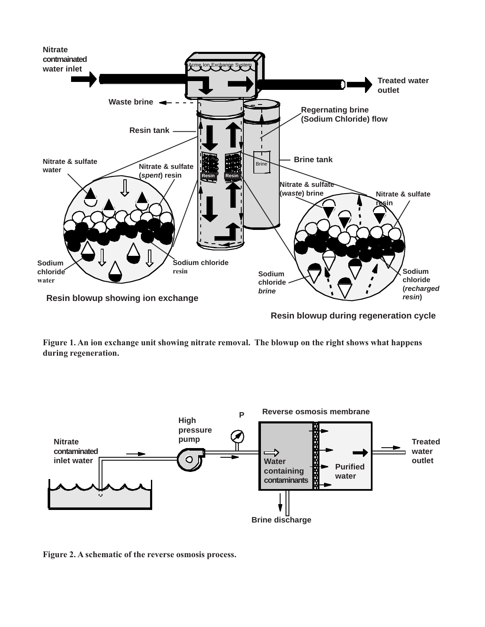

**Resin blowup during regeneration cycle**

**Figure 1. An ion exchange unit showing nitrate removal. The blowup on the right shows what happens during regeneration.**